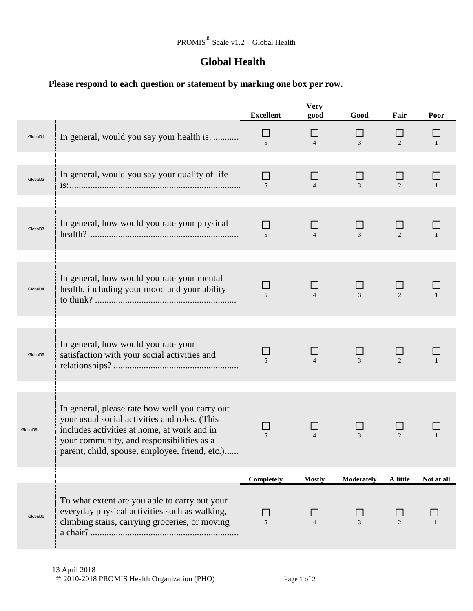## **Global Health**

## **Please respond to each question or statement by marking one box per row.**

|                      |                                                                                                                                                                                                                                               | <b>Excellent</b>          | <b>Very</b><br>good  | Good           | Fair           | Poor         |
|----------------------|-----------------------------------------------------------------------------------------------------------------------------------------------------------------------------------------------------------------------------------------------|---------------------------|----------------------|----------------|----------------|--------------|
| Global01             | In general, would you say your health is:                                                                                                                                                                                                     | ⊔<br>$\overline{5}$       | ΙI<br>$\overline{4}$ | $\Box$<br>3    | 2              | $\mathbf{1}$ |
| Global <sub>02</sub> | In general, would you say your quality of life                                                                                                                                                                                                | П<br>5                    | $\Box$               | $\mathcal{F}$  | $\overline{2}$ |              |
| Global03             | In general, how would you rate your physical                                                                                                                                                                                                  | П<br>5                    | $\Box$<br>$\Delta$   | $\mathfrak{Z}$ | $\overline{2}$ | $\mathbf{1}$ |
| Global04             | In general, how would you rate your mental<br>health, including your mood and your ability                                                                                                                                                    | $\overline{5}$            |                      | $\mathcal{Z}$  | $\mathfrak{D}$ |              |
| Global05             | In general, how would you rate your<br>satisfaction with your social activities and                                                                                                                                                           | ΙI<br>$\overline{5}$      |                      | 3              | 2              |              |
| Global09r            | In general, please rate how well you carry out<br>your usual social activities and roles. (This<br>includes activities at home, at work and in<br>your community, and responsibilities as a<br>parent, child, spouse, employee, friend, etc.) | 5                         |                      | 3              | $\overline{2}$ |              |
|                      |                                                                                                                                                                                                                                               | Completely                | <b>Mostly</b>        | Moderately     | A little       | Not at all   |
| Global06             | To what extent are you able to carry out your<br>everyday physical activities such as walking,<br>climbing stairs, carrying groceries, or moving                                                                                              | $\Box$<br>$5\overline{)}$ |                      | 3              | $\mathfrak{D}$ |              |